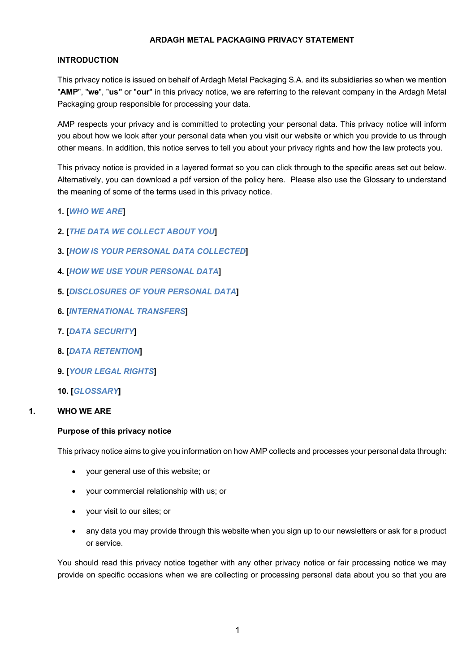#### **ARDAGH METAL PACKAGING PRIVACY STATEMENT**

## **INTRODUCTION**

This privacy notice is issued on behalf of Ardagh Metal Packaging S.A. and its subsidiaries so when we mention "**AMP**", "**we**", "**us"** or "**our**" in this privacy notice, we are referring to the relevant company in the Ardagh Metal Packaging group responsible for processing your data.

AMP respects your privacy and is committed to protecting your personal data. This privacy notice will inform you about how we look after your personal data when you visit our website or which you provide to us through other means. In addition, this notice serves to tell you about your privacy rights and how the law protects you.

This privacy notice is provided in a layered format so you can click through to the specific areas set out below. Alternatively, you can download a pdf version of the policy here. Please also use the Glossary to understand the meaning of some of the terms used in this privacy notice.

- **1. [***WHO WE ARE***]**
- **2. [***THE DATA WE COLLECT ABOUT YOU***]**
- **3. [***HOW IS YOUR PERSONAL DATA COLLECTED***]**
- **4. [***HOW WE USE YOUR PERSONAL DATA***]**
- **5. [***DISCLOSURES OF YOUR PERSONAL DATA***]**
- **6. [***INTERNATIONAL TRANSFERS***]**
- **7. [***DATA SECURITY***]**
- **8. [***DATA RETENTION***]**
- **9. [***YOUR LEGAL RIGHTS***]**
- **10. [***GLOSSARY***]**

### **1. WHO WE ARE**

### **Purpose of this privacy notice**

This privacy notice aims to give you information on how AMP collects and processes your personal data through:

- your general use of this website; or
- your commercial relationship with us; or
- your visit to our sites; or
- any data you may provide through this website when you sign up to our newsletters or ask for a product or service.

You should read this privacy notice together with any other privacy notice or fair processing notice we may provide on specific occasions when we are collecting or processing personal data about you so that you are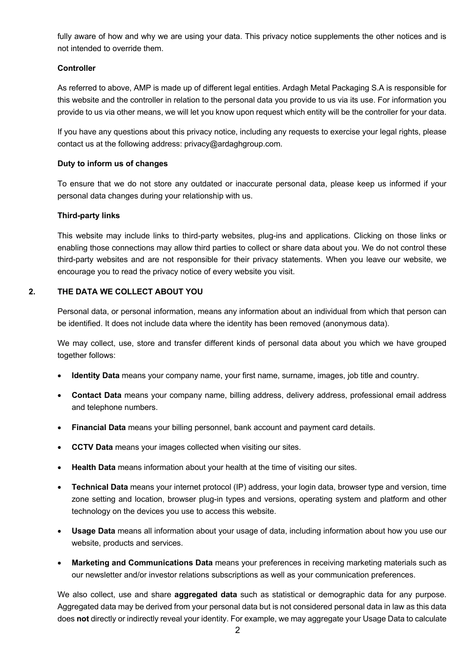fully aware of how and why we are using your data. This privacy notice supplements the other notices and is not intended to override them.

## **Controller**

As referred to above, AMP is made up of different legal entities. Ardagh Metal Packaging S.A is responsible for this website and the controller in relation to the personal data you provide to us via its use. For information you provide to us via other means, we will let you know upon request which entity will be the controller for your data.

If you have any questions about this privacy notice, including any requests to exercise your legal rights, please contact us at the following address: privacy@ardaghgroup.com.

## **Duty to inform us of changes**

To ensure that we do not store any outdated or inaccurate personal data, please keep us informed if your personal data changes during your relationship with us.

### **Third-party links**

This website may include links to third-party websites, plug-ins and applications. Clicking on those links or enabling those connections may allow third parties to collect or share data about you. We do not control these third-party websites and are not responsible for their privacy statements. When you leave our website, we encourage you to read the privacy notice of every website you visit.

# **2. THE DATA WE COLLECT ABOUT YOU**

Personal data, or personal information, means any information about an individual from which that person can be identified. It does not include data where the identity has been removed (anonymous data).

We may collect, use, store and transfer different kinds of personal data about you which we have grouped together follows:

- **Identity Data** means your company name, your first name, surname, images, job title and country.
- **Contact Data** means your company name, billing address, delivery address, professional email address and telephone numbers.
- **Financial Data** means your billing personnel, bank account and payment card details.
- **CCTV Data** means your images collected when visiting our sites.
- **Health Data** means information about your health at the time of visiting our sites.
- **Technical Data** means your internet protocol (IP) address, your login data, browser type and version, time zone setting and location, browser plug-in types and versions, operating system and platform and other technology on the devices you use to access this website.
- **Usage Data** means all information about your usage of data, including information about how you use our website, products and services.
- **Marketing and Communications Data** means your preferences in receiving marketing materials such as our newsletter and/or investor relations subscriptions as well as your communication preferences.

We also collect, use and share **aggregated data** such as statistical or demographic data for any purpose. Aggregated data may be derived from your personal data but is not considered personal data in law as this data does **not** directly or indirectly reveal your identity. For example, we may aggregate your Usage Data to calculate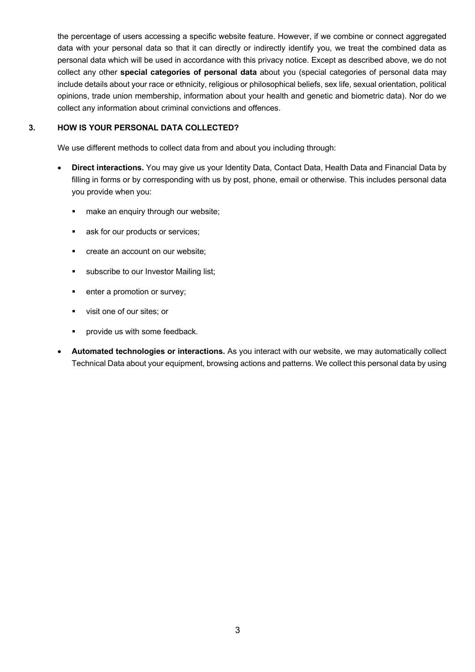the percentage of users accessing a specific website feature. However, if we combine or connect aggregated data with your personal data so that it can directly or indirectly identify you, we treat the combined data as personal data which will be used in accordance with this privacy notice. Except as described above, we do not collect any other **special categories of personal data** about you (special categories of personal data may include details about your race or ethnicity, religious or philosophical beliefs, sex life, sexual orientation, political opinions, trade union membership, information about your health and genetic and biometric data). Nor do we collect any information about criminal convictions and offences.

## **3. HOW IS YOUR PERSONAL DATA COLLECTED?**

We use different methods to collect data from and about you including through:

- **Direct interactions.** You may give us your Identity Data, Contact Data, Health Data and Financial Data by filling in forms or by corresponding with us by post, phone, email or otherwise. This includes personal data you provide when you:
	- **■** make an enquiry through our website;
	- ask for our products or services;
	- create an account on our website;
	- subscribe to our Investor Mailing list;
	- enter a promotion or survey;
	- **•** visit one of our sites; or
	- provide us with some feedback.
- **Automated technologies or interactions.** As you interact with our website, we may automatically collect Technical Data about your equipment, browsing actions and patterns. We collect this personal data by using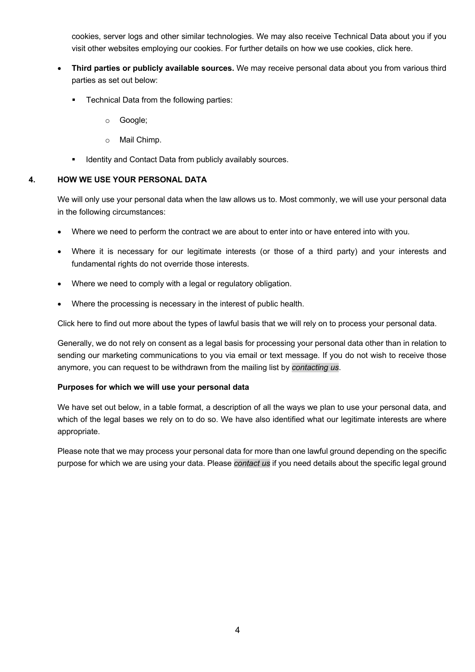cookies, server logs and other similar technologies. We may also receive Technical Data about you if you visit other websites employing our cookies. For further details on how we use cookies, click here.

- **Third parties or publicly available sources.** We may receive personal data about you from various third parties as set out below:
	- Technical Data from the following parties:
		- o Google;
		- o Mail Chimp.
	- Identity and Contact Data from publicly availably sources.

### **4. HOW WE USE YOUR PERSONAL DATA**

We will only use your personal data when the law allows us to. Most commonly, we will use your personal data in the following circumstances:

- Where we need to perform the contract we are about to enter into or have entered into with you.
- Where it is necessary for our legitimate interests (or those of a third party) and your interests and fundamental rights do not override those interests.
- Where we need to comply with a legal or regulatory obligation.
- Where the processing is necessary in the interest of public health.

Click here to find out more about the types of lawful basis that we will rely on to process your personal data.

Generally, we do not rely on consent as a legal basis for processing your personal data other than in relation to sending our marketing communications to you via email or text message. If you do not wish to receive those anymore, you can request to be withdrawn from the mailing list by *contacting us*.

### **Purposes for which we will use your personal data**

We have set out below, in a table format, a description of all the ways we plan to use your personal data, and which of the legal bases we rely on to do so. We have also identified what our legitimate interests are where appropriate.

Please note that we may process your personal data for more than one lawful ground depending on the specific purpose for which we are using your data. Please *contact us* if you need details about the specific legal ground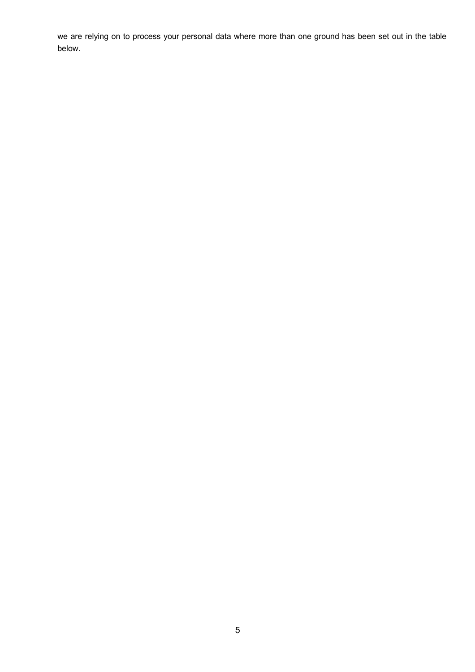we are relying on to process your personal data where more than one ground has been set out in the table below.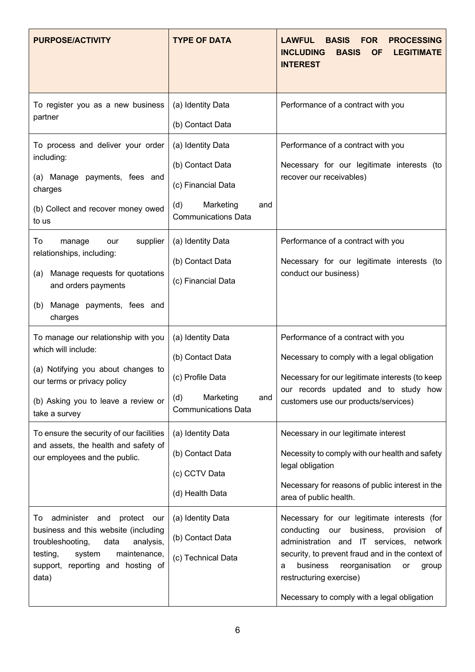| <b>PURPOSE/ACTIVITY</b>                                                                                                                                                                                     | <b>TYPE OF DATA</b>                                                                                                  | <b>LAWFUL</b><br><b>BASIS</b><br><b>FOR</b><br><b>PROCESSING</b><br><b>INCLUDING</b><br><b>BASIS</b><br><b>LEGITIMATE</b><br><b>OF</b><br><b>INTEREST</b>                                                                                                                                                                   |
|-------------------------------------------------------------------------------------------------------------------------------------------------------------------------------------------------------------|----------------------------------------------------------------------------------------------------------------------|-----------------------------------------------------------------------------------------------------------------------------------------------------------------------------------------------------------------------------------------------------------------------------------------------------------------------------|
| To register you as a new business<br>partner                                                                                                                                                                | (a) Identity Data<br>(b) Contact Data                                                                                | Performance of a contract with you                                                                                                                                                                                                                                                                                          |
| To process and deliver your order<br>including:<br>(a) Manage payments, fees and<br>charges<br>(b) Collect and recover money owed<br>to us                                                                  | (a) Identity Data<br>(b) Contact Data<br>(c) Financial Data<br>Marketing<br>(d)<br>and<br><b>Communications Data</b> | Performance of a contract with you<br>Necessary for our legitimate interests (to<br>recover our receivables)                                                                                                                                                                                                                |
| To<br>manage<br>supplier<br>our<br>relationships, including:<br>Manage requests for quotations<br>(a)<br>and orders payments<br>Manage payments, fees and<br>(b)<br>charges                                 | (a) Identity Data<br>(b) Contact Data<br>(c) Financial Data                                                          | Performance of a contract with you<br>Necessary for our legitimate interests (to<br>conduct our business)                                                                                                                                                                                                                   |
| To manage our relationship with you<br>which will include:<br>(a) Notifying you about changes to<br>our terms or privacy policy<br>(b) Asking you to leave a review or<br>take a survey                     | (a) Identity Data<br>(b) Contact Data<br>(c) Profile Data<br>(d)<br>Marketing<br>and<br><b>Communications Data</b>   | Performance of a contract with you<br>Necessary to comply with a legal obligation<br>Necessary for our legitimate interests (to keep<br>our records updated and to study how<br>customers use our products/services)                                                                                                        |
| To ensure the security of our facilities<br>and assets, the health and safety of<br>our employees and the public.                                                                                           | (a) Identity Data<br>(b) Contact Data<br>(c) CCTV Data<br>(d) Health Data                                            | Necessary in our legitimate interest<br>Necessity to comply with our health and safety<br>legal obligation<br>Necessary for reasons of public interest in the<br>area of public health.                                                                                                                                     |
| administer<br>protect our<br>To<br>and<br>business and this website (including<br>troubleshooting,<br>data<br>analysis,<br>maintenance,<br>testing,<br>system<br>support, reporting and hosting of<br>data) | (a) Identity Data<br>(b) Contact Data<br>(c) Technical Data                                                          | Necessary for our legitimate interests (for<br>conducting<br>business,<br>our<br>provision<br>of<br>administration and IT services, network<br>security, to prevent fraud and in the context of<br>business<br>reorganisation<br>or<br>group<br>a<br>restructuring exercise)<br>Necessary to comply with a legal obligation |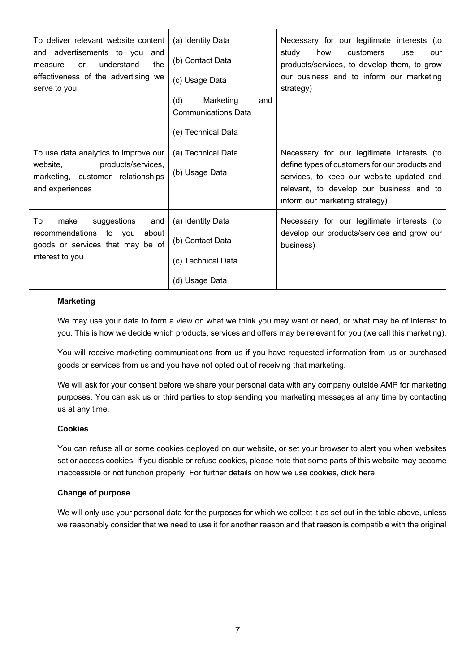| To deliver relevant website content<br>and advertisements to you<br>and<br>the<br>understand<br>measure<br>or<br>effectiveness of the advertising we<br>serve to you | (a) Identity Data<br>(b) Contact Data<br>(c) Usage Data<br>Marketing<br>(d)<br>and<br><b>Communications Data</b><br>(e) Technical Data | Necessary for our legitimate interests (to<br>study<br>how<br>customers<br>use<br>our<br>products/services, to develop them, to grow<br>our business and to inform our marketing<br>strategy)                           |
|----------------------------------------------------------------------------------------------------------------------------------------------------------------------|----------------------------------------------------------------------------------------------------------------------------------------|-------------------------------------------------------------------------------------------------------------------------------------------------------------------------------------------------------------------------|
| To use data analytics to improve our<br>website,<br>products/services,<br>marketing, customer relationships<br>and experiences                                       | (a) Technical Data<br>(b) Usage Data                                                                                                   | Necessary for our legitimate interests (to<br>define types of customers for our products and<br>services, to keep our website updated and<br>relevant, to develop our business and to<br>inform our marketing strategy) |
| To<br>make<br>suggestions<br>and<br>recommendations<br>to<br>about<br>you<br>goods or services that may be of<br>interest to you                                     | (a) Identity Data<br>(b) Contact Data<br>(c) Technical Data<br>(d) Usage Data                                                          | Necessary for our legitimate interests (to<br>develop our products/services and grow our<br>business)                                                                                                                   |

## **Marketing**

We may use your data to form a view on what we think you may want or need, or what may be of interest to you. This is how we decide which products, services and offers may be relevant for you (we call this marketing).

You will receive marketing communications from us if you have requested information from us or purchased goods or services from us and you have not opted out of receiving that marketing.

We will ask for your consent before we share your personal data with any company outside AMP for marketing purposes. You can ask us or third parties to stop sending you marketing messages at any time by contacting us at any time.

### **Cookies**

You can refuse all or some cookies deployed on our website, or set your browser to alert you when websites set or access cookies. If you disable or refuse cookies, please note that some parts of this website may become inaccessible or not function properly. For further details on how we use cookies, click here.

### **Change of purpose**

We will only use your personal data for the purposes for which we collect it as set out in the table above, unless we reasonably consider that we need to use it for another reason and that reason is compatible with the original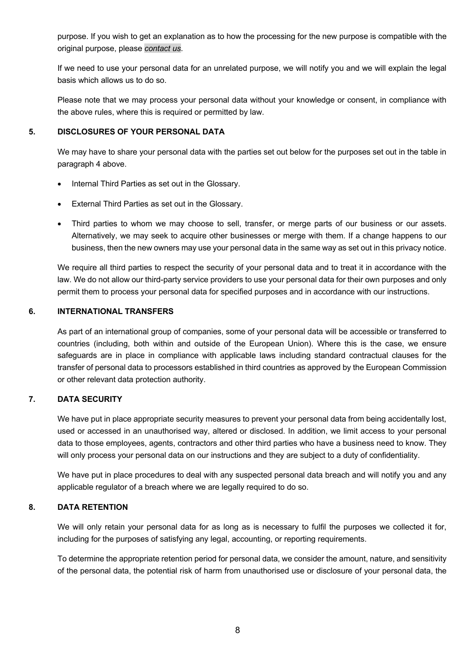purpose. If you wish to get an explanation as to how the processing for the new purpose is compatible with the original purpose, please *contact us*.

If we need to use your personal data for an unrelated purpose, we will notify you and we will explain the legal basis which allows us to do so.

Please note that we may process your personal data without your knowledge or consent, in compliance with the above rules, where this is required or permitted by law.

### **5. DISCLOSURES OF YOUR PERSONAL DATA**

We may have to share your personal data with the parties set out below for the purposes set out in the table in paragraph 4 above.

- Internal Third Parties as set out in the Glossary.
- External Third Parties as set out in the Glossary.
- Third parties to whom we may choose to sell, transfer, or merge parts of our business or our assets. Alternatively, we may seek to acquire other businesses or merge with them. If a change happens to our business, then the new owners may use your personal data in the same way as set out in this privacy notice.

We require all third parties to respect the security of your personal data and to treat it in accordance with the law. We do not allow our third-party service providers to use your personal data for their own purposes and only permit them to process your personal data for specified purposes and in accordance with our instructions.

### **6. INTERNATIONAL TRANSFERS**

As part of an international group of companies, some of your personal data will be accessible or transferred to countries (including, both within and outside of the European Union). Where this is the case, we ensure safeguards are in place in compliance with applicable laws including standard contractual clauses for the transfer of personal data to processors established in third countries as approved by the European Commission or other relevant data protection authority.

### **7. DATA SECURITY**

We have put in place appropriate security measures to prevent your personal data from being accidentally lost, used or accessed in an unauthorised way, altered or disclosed. In addition, we limit access to your personal data to those employees, agents, contractors and other third parties who have a business need to know. They will only process your personal data on our instructions and they are subject to a duty of confidentiality.

We have put in place procedures to deal with any suspected personal data breach and will notify you and any applicable regulator of a breach where we are legally required to do so.

# **8. DATA RETENTION**

We will only retain your personal data for as long as is necessary to fulfil the purposes we collected it for, including for the purposes of satisfying any legal, accounting, or reporting requirements.

To determine the appropriate retention period for personal data, we consider the amount, nature, and sensitivity of the personal data, the potential risk of harm from unauthorised use or disclosure of your personal data, the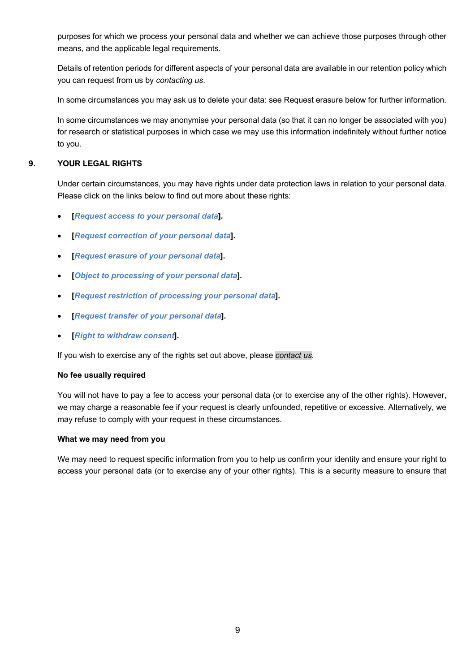purposes for which we process your personal data and whether we can achieve those purposes through other means, and the applicable legal requirements.

Details of retention periods for different aspects of your personal data are available in our retention policy which you can request from us by *contacting us*.

In some circumstances you may ask us to delete your data: see Request erasure below for further information.

In some circumstances we may anonymise your personal data (so that it can no longer be associated with you) for research or statistical purposes in which case we may use this information indefinitely without further notice to you.

# **9. YOUR LEGAL RIGHTS**

Under certain circumstances, you may have rights under data protection laws in relation to your personal data. Please click on the links below to find out more about these rights:

- **[***Request access to your personal data***].**
- **[***Request correction of your personal data***].**
- **[***Request erasure of your personal data***].**
- **[***Object to processing of your personal data***].**
- **[***Request restriction of processing your personal data***].**
- **[***Request transfer of your personal data***].**
- **[***Right to withdraw consent***].**

If you wish to exercise any of the rights set out above, please *contact us*.

### **No fee usually required**

You will not have to pay a fee to access your personal data (or to exercise any of the other rights). However, we may charge a reasonable fee if your request is clearly unfounded, repetitive or excessive. Alternatively, we may refuse to comply with your request in these circumstances.

### **What we may need from you**

We may need to request specific information from you to help us confirm your identity and ensure your right to access your personal data (or to exercise any of your other rights). This is a security measure to ensure that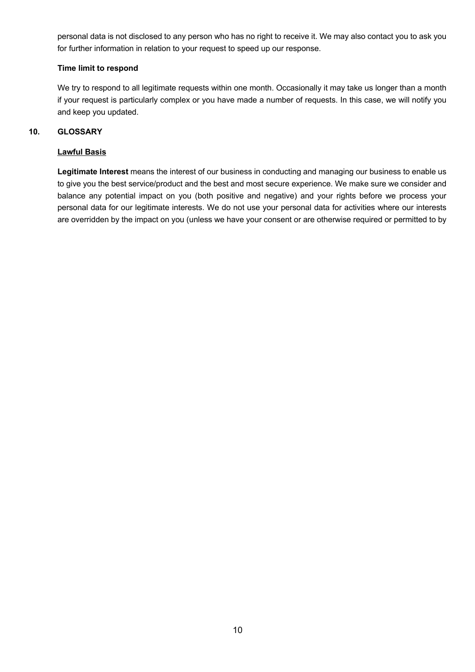personal data is not disclosed to any person who has no right to receive it. We may also contact you to ask you for further information in relation to your request to speed up our response.

## **Time limit to respond**

We try to respond to all legitimate requests within one month. Occasionally it may take us longer than a month if your request is particularly complex or you have made a number of requests. In this case, we will notify you and keep you updated.

# **10. GLOSSARY**

### **Lawful Basis**

**Legitimate Interest** means the interest of our business in conducting and managing our business to enable us to give you the best service/product and the best and most secure experience. We make sure we consider and balance any potential impact on you (both positive and negative) and your rights before we process your personal data for our legitimate interests. We do not use your personal data for activities where our interests are overridden by the impact on you (unless we have your consent or are otherwise required or permitted to by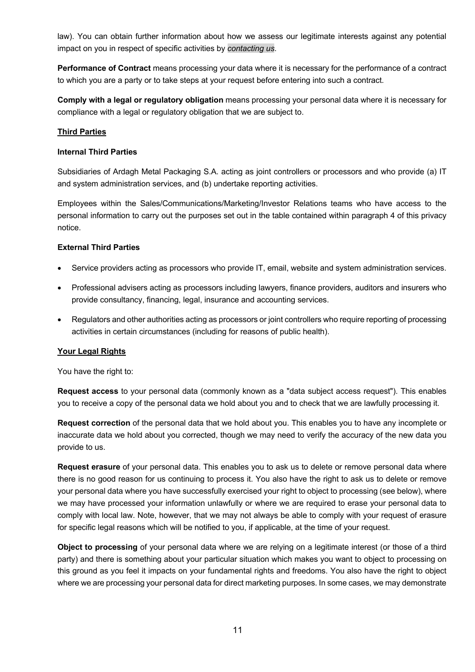law). You can obtain further information about how we assess our legitimate interests against any potential impact on you in respect of specific activities by *contacting us*.

**Performance of Contract** means processing your data where it is necessary for the performance of a contract to which you are a party or to take steps at your request before entering into such a contract.

**Comply with a legal or regulatory obligation** means processing your personal data where it is necessary for compliance with a legal or regulatory obligation that we are subject to.

## **Third Parties**

#### **Internal Third Parties**

Subsidiaries of Ardagh Metal Packaging S.A. acting as joint controllers or processors and who provide (a) IT and system administration services, and (b) undertake reporting activities.

Employees within the Sales/Communications/Marketing/Investor Relations teams who have access to the personal information to carry out the purposes set out in the table contained within paragraph 4 of this privacy notice.

### **External Third Parties**

- Service providers acting as processors who provide IT, email, website and system administration services.
- Professional advisers acting as processors including lawyers, finance providers, auditors and insurers who provide consultancy, financing, legal, insurance and accounting services.
- Regulators and other authorities acting as processors or joint controllers who require reporting of processing activities in certain circumstances (including for reasons of public health).

### **Your Legal Rights**

You have the right to:

**Request access** to your personal data (commonly known as a "data subject access request"). This enables you to receive a copy of the personal data we hold about you and to check that we are lawfully processing it.

**Request correction** of the personal data that we hold about you. This enables you to have any incomplete or inaccurate data we hold about you corrected, though we may need to verify the accuracy of the new data you provide to us.

**Request erasure** of your personal data. This enables you to ask us to delete or remove personal data where there is no good reason for us continuing to process it. You also have the right to ask us to delete or remove your personal data where you have successfully exercised your right to object to processing (see below), where we may have processed your information unlawfully or where we are required to erase your personal data to comply with local law. Note, however, that we may not always be able to comply with your request of erasure for specific legal reasons which will be notified to you, if applicable, at the time of your request.

**Object to processing** of your personal data where we are relying on a legitimate interest (or those of a third party) and there is something about your particular situation which makes you want to object to processing on this ground as you feel it impacts on your fundamental rights and freedoms. You also have the right to object where we are processing your personal data for direct marketing purposes. In some cases, we may demonstrate